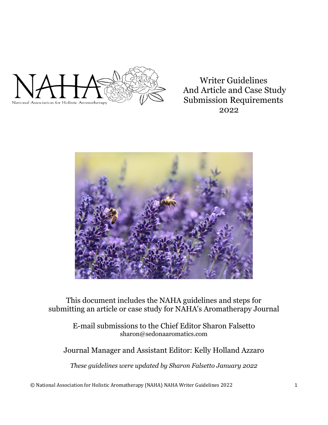

Writer Guidelines And Article and Case Study Submission Requirements 2022



This document includes the NAHA guidelines and steps for submitting an article or case study for NAHA's Aromatherapy Journal

> E-mail submissions to the Chief Editor Sharon Falsetto sharon@sedonaaromatics.com

## Journal Manager and Assistant Editor: Kelly Holland Azzaro

*These guidelines were updated by Sharon Falsetto January 2022*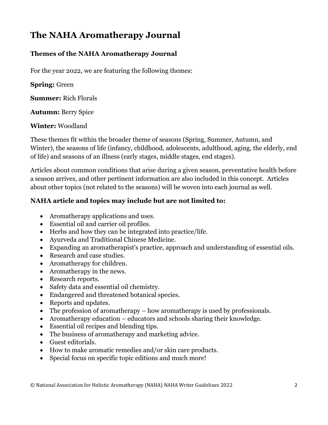# **The NAHA Aromatherapy Journal**

## **Themes of the NAHA Aromatherapy Journal**

For the year 2022, we are featuring the following themes:

**Spring:** Green

**Summer:** Rich Florals

**Autumn:** Berry Spice

**Winter:** Woodland

These themes fit within the broader theme of seasons (Spring, Summer, Autumn, and Winter), the seasons of life (infancy, childhood, adolescents, adulthood, aging, the elderly, end of life) and seasons of an illness (early stages, middle stages, end stages).

Articles about common conditions that arise during a given season, preventative health before a season arrives, and other pertinent information are also included in this concept. Articles about other topics (not related to the seasons) will be woven into each journal as well.

## **NAHA article and topics may include but are not limited to:**

- Aromatherapy applications and uses.
- Essential oil and carrier oil profiles.
- Herbs and how they can be integrated into practice/life.
- Ayurveda and Traditional Chinese Medicine.
- Expanding an aromatherapist's practice, approach and understanding of essential oils.
- Research and case studies.
- Aromatherapy for children.
- Aromatherapy in the news.
- Research reports.
- Safety data and essential oil chemistry.
- Endangered and threatened botanical species.
- Reports and updates.
- The profession of aromatherapy how aromatherapy is used by professionals.
- Aromatherapy education educators and schools sharing their knowledge.
- Essential oil recipes and blending tips.
- The business of aromatherapy and marketing advice.
- Guest editorials.
- How to make aromatic remedies and/or skin care products.
- Special focus on specific topic editions and much more!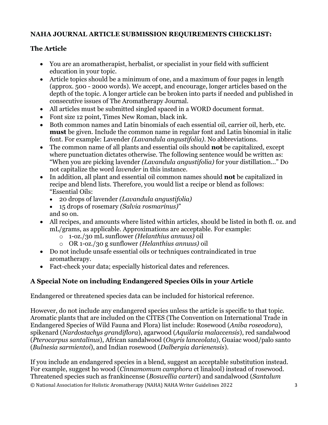## **NAHA JOURNAL ARTICLE SUBMISSION REQUIREMENTS CHECKLIST:**

## **The Article**

- You are an aromatherapist, herbalist, or specialist in your field with sufficient education in your topic.
- Article topics should be a minimum of one, and a maximum of four pages in length (approx. 500 - 2000 words). We accept, and encourage, longer articles based on the depth of the topic. A longer article can be broken into parts if needed and published in consecutive issues of The Aromatherapy Journal.
- All articles must be submitted singled spaced in a WORD document format.
- Font size 12 point, Times New Roman, black ink.
- Both common names and Latin binomials of each essential oil, carrier oil, herb, etc. **must** be given. Include the common name in regular font and Latin binomial in italic font. For example: Lavender *(Lavandula angustifolia)*. No abbreviations.
- The common name of all plants and essential oils should **not** be capitalized, except where punctuation dictates otherwise. The following sentence would be written as: "When you are picking lavender *(Lavandula angustifolia)* for your distillation..." Do not capitalize the word *lavender* in this instance.
- In addition, all plant and essential oil common names should **not** be capitalized in recipe and blend lists. Therefore, you would list a recipe or blend as follows: "Essential Oils:
	- 20 drops of lavender *(Lavandula angustifolia)*
	- 15 drops of rosemary *(Salvia rosmarinus)*" and so on.
- All recipes, and amounts where listed within articles, should be listed in both fl. oz. and mL/grams, as applicable. Approximations are acceptable. For example:
	- o 1-oz./30 mL sunflower *(Helanthius annuus)* oil
	- o OR 1-oz./30 g sunflower *(Helanthius annuus)* oil
- Do not include unsafe essential oils or techniques contraindicated in true aromatherapy.
- Fact-check your data; especially historical dates and references.

## **A Special Note on including Endangered Species Oils in your Article**

Endangered or threatened species data can be included for historical reference.

However, do not include any endangered species unless the article is specific to that topic. Aromatic plants that are included on the CITES (The Convention on International Trade in Endangered Species of Wild Fauna and Flora) list include: Rosewood (*Aniba roseodora*), spikenard (*Nardostachys grandiflora*), agarwood (*Aquilaria malaccensis*), red sandalwood (*Pterocarpus santalinus*), African sandalwood (*Osyris lanceolata*), Guaiac wood/palo santo (*Bulnesia sarmientoi*), and Indian rosewood (*Dalbergia darienensis*).

© National Association for Holistic Aromatherapy (NAHA) NAHA Writer Guidelines 2022 3 If you include an endangered species in a blend, suggest an acceptable substitution instead. For example, suggest ho wood (*Cinnamomum camphora* ct linalool) instead of rosewood. Threatened species such as frankincense (*Boswellia carteri*) and sandalwood (*Santalum*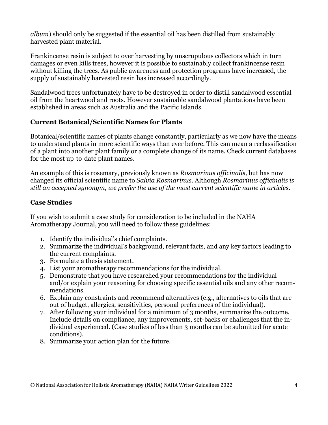*album*) should only be suggested if the essential oil has been distilled from sustainably harvested plant material.

Frankincense resin is subject to over harvesting by unscrupulous collectors which in turn damages or even kills trees, however it is possible to sustainably collect frankincense resin without killing the trees. As public awareness and protection programs have increased, the supply of sustainably harvested resin has increased accordingly.

Sandalwood trees unfortunately have to be destroyed in order to distill sandalwood essential oil from the heartwood and roots. However sustainable sandalwood plantations have been established in areas such as Australia and the Pacific Islands.

#### **Current Botanical/Scientific Names for Plants**

Botanical/scientific names of plants change constantly, particularly as we now have the means to understand plants in more scientific ways than ever before. This can mean a reclassification of a plant into another plant family or a complete change of its name. Check current databases for the most up-to-date plant names.

An example of this is rosemary, previously known as *Rosmarinus officinalis,* but has now changed its official scientific name to *Salvia Rosmarinus*. Although *Rosmarinus officinalis is still an accepted synonym, we prefer the use of the most current scientific name in articles*.

#### **Case Studies**

If you wish to submit a case study for consideration to be included in the NAHA Aromatherapy Journal, you will need to follow these guidelines:

- 1. Identify the individual's chief complaints.
- 2. Summarize the individual's background, relevant facts, and any key factors leading to the current complaints.
- 3. Formulate a thesis statement.
- 4. List your aromatherapy recommendations for the individual.
- 5. Demonstrate that you have researched your recommendations for the individual and/or explain your reasoning for choosing specific essential oils and any other recommendations.
- 6. Explain any constraints and recommend alternatives (e.g., alternatives to oils that are out of budget, allergies, sensitivities, personal preferences of the individual).
- 7. After following your individual for a minimum of 3 months, summarize the outcome. Include details on compliance, any improvements, set-backs or challenges that the individual experienced. (Case studies of less than 3 months can be submitted for acute conditions).
- 8. Summarize your action plan for the future.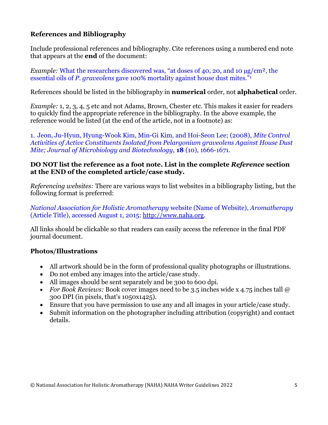#### **References and Bibliography**

Include professional references and bibliography. Cite references using a numbered end note that appears at the **end** of the document:

*Example:* What the researchers discovered was, "at doses of 40, 20, and 10  $\mu$ g/cm<sup>2</sup>, the essential oils of *P. graveolens* gave 100% mortality against house dust mites."<sup>1</sup>

References should be listed in the bibliography in **numerical** order, not **alphabetical** order.

*Example:* 1, 2, 3, 4, 5 etc and not Adams, Brown, Chester etc. This makes it easier for readers to quickly find the appropriate reference in the bibliography. In the above example, the reference would be listed (at the end of the article, not in a footnote) as:

1. Jeon, Ju-Hyun, Hyung-Wook Kim, Min-Gi Kim, and Hoi-Seon Lee; (2008), *Mite Control Activities of Active Constituents Isolated from Pelargonium graveolens Against House Dust Mite; Journal of Microbiology and Biotechnology,* **18** (10), 1666-1671.

#### **DO NOT list the reference as a foot note. List in the complete** *Reference* **section at the END of the completed article/case study.**

*Referencing websites:* There are various ways to list websites in a bibliography listing, but the following format is preferred:

*National Association for Holistic Aromatherapy* website (Name of Website), *Aromatherapy*  (Article Title), accessed August 1, 2015: [http://www.naha.org.](http://www.naha.org/)

All links should be clickable so that readers can easily access the reference in the final PDF journal document.

#### **Photos/Illustrations**

- All artwork should be in the form of professional quality photographs or illustrations.
- Do not embed any images into the article/case study.
- All images should be sent separately and be 300 to 600 dpi.
- *For Book Reviews:* Book cover images need to be 3.5 inches wide x 4.75 inches tall @ 300 DPI (in pixels, that's 1050x1425).
- Ensure that you have permission to use any and all images in your article/case study.
- Submit information on the photographer including attribution (copyright) and contact details.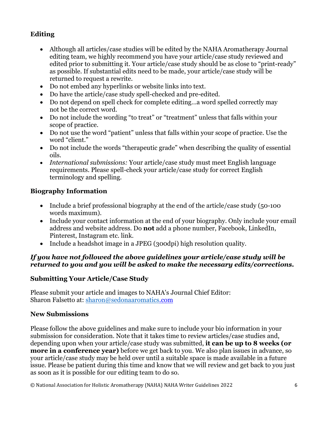## **Editing**

- Although all articles/case studies will be edited by the NAHA Aromatherapy Journal editing team, we highly recommend you have your article/case study reviewed and edited prior to submitting it. Your article/case study should be as close to "print-ready" as possible. If substantial edits need to be made, your article/case study will be returned to request a rewrite.
- Do not embed any hyperlinks or website links into text.
- Do have the article/case study spell-checked and pre-edited.
- Do not depend on spell check for complete editing...a word spelled correctly may not be the correct word.
- Do not include the wording "to treat" or "treatment" unless that falls within your scope of practice.
- Do not use the word "patient" unless that falls within your scope of practice. Use the word "client."
- Do not include the words "therapeutic grade" when describing the quality of essential oils.
- *International submissions:* Your article/case study must meet English language requirements. Please spell-check your article/case study for correct English terminology and spelling.

#### **Biography Information**

- Include a brief professional biography at the end of the article/case study (50-100) words maximum).
- Include your contact information at the end of your biography. Only include your email address and website address. Do **not** add a phone number, Facebook, LinkedIn, Pinterest, Instagram etc. link.
- Include a headshot image in a JPEG (300dpi) high resolution quality.

#### *If you have not followed the above guidelines your article/case study will be returned to you and you will be asked to make the necessary edits/corrections.*

## **Submitting Your Article/Case Study**

Please submit your article and images to NAHA's Journal Chief Editor: Sharon Falsetto at: [sharon@sedonaaromatics.](mailto:sharon@sedonaaromatics)com

#### **New Submissions**

Please follow the above guidelines and make sure to include your bio information in your submission for consideration. Note that it takes time to review articles/case studies and, depending upon when your article/case study was submitted, **it can be up to 8 weeks (or more in a conference year)** before we get back to you. We also plan issues in advance, so your article/case study may be held over until a suitable space is made available in a future issue. Please be patient during this time and know that we will review and get back to you just as soon as it is possible for our editing team to do so.

© National Association for Holistic Aromatherapy (NAHA) NAHA Writer Guidelines 2022 6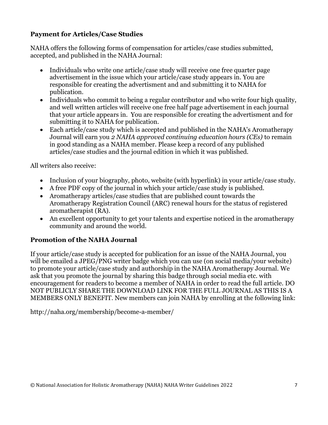### **Payment for Articles/Case Studies**

NAHA offers the following forms of compensation for articles/case studies submitted, accepted, and published in the NAHA Journal:

- Individuals who write one article/case study will receive one free quarter page advertisement in the issue which your article/case study appears in. You are responsible for creating the advertisment and and submitting it to NAHA for publication.
- Individuals who commit to being a regular contributor and who write four high quality, and well written articles will receive one free half page advertisement in each journal that your article appears in. You are responsible for creating the advertisment and for submitting it to NAHA for publication.
- Each article/case study which is accepted and published in the NAHA's Aromatherapy Journal will earn you *2 NAHA approved continuing education hours (CEs)* to remain in good standing as a NAHA member. Please keep a record of any published articles/case studies and the journal edition in which it was published.

All writers also receive:

- Inclusion of your biography, photo, website (with hyperlink) in your article/case study.
- A free PDF copy of the journal in which your article/case study is published.
- Aromatherapy articles/case studies that are published count towards the Aromatherapy Registration Council (ARC) renewal hours for the status of registered aromatherapist (RA).
- An excellent opportunity to get your talents and expertise noticed in the aromatherapy community and around the world.

## **Promotion of the NAHA Journal**

If your article/case study is accepted for publication for an issue of the NAHA Journal, you will be emailed a JPEG/PNG writer badge which you can use (on social media/your website) to promote your article/case study and authorship in the NAHA Aromatherapy Journal. We ask that you promote the journal by sharing this badge through social media etc. with encouragement for readers to become a member of NAHA in order to read the full article. DO NOT PUBLICLY SHARE THE DOWNLOAD LINK FOR THE FULL JOURNAL AS THIS IS A MEMBERS ONLY BENEFIT. New members can join NAHA by enrolling at the following link:

<http://naha.org/membership/become-a-member/>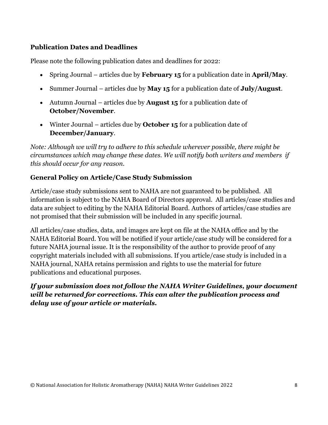#### **Publication Dates and Deadlines**

Please note the following publication dates and deadlines for 2022:

- Spring Journal articles due by **February 15** for a publication date in **April/May**.
- Summer Journal articles due by **May 15** for a publication date of **July/August**.
- Autumn Journal articles due by **August 15** for a publication date of **October/November**.
- Winter Journal articles due by **October 15** for a publication date of **December/January**.

*Note: Although we will try to adhere to this schedule wherever possible, there might be circumstances which may change these dates. We will notify both writers and members if this should occur for any reason.*

## **General Policy on Article/Case Study Submission**

Article/case study submissions sent to NAHA are not guaranteed to be published. All information is subject to the NAHA Board of Directors approval. All articles/case studies and data are subject to editing by the NAHA Editorial Board. Authors of articles/case studies are not promised that their submission will be included in any specific journal.

All articles/case studies, data, and images are kept on file at the NAHA office and by the NAHA Editorial Board. You will be notified if your article/case study will be considered for a future NAHA journal issue. It is the responsibility of the author to provide proof of any copyright materials included with all submissions. If you article/case study is included in a NAHA journal, NAHA retains permission and rights to use the material for future publications and educational purposes.

## *If your submission does not follow the NAHA Writer Guidelines, your document will be returned for corrections. This can alter the publication process and delay use of your article or materials.*